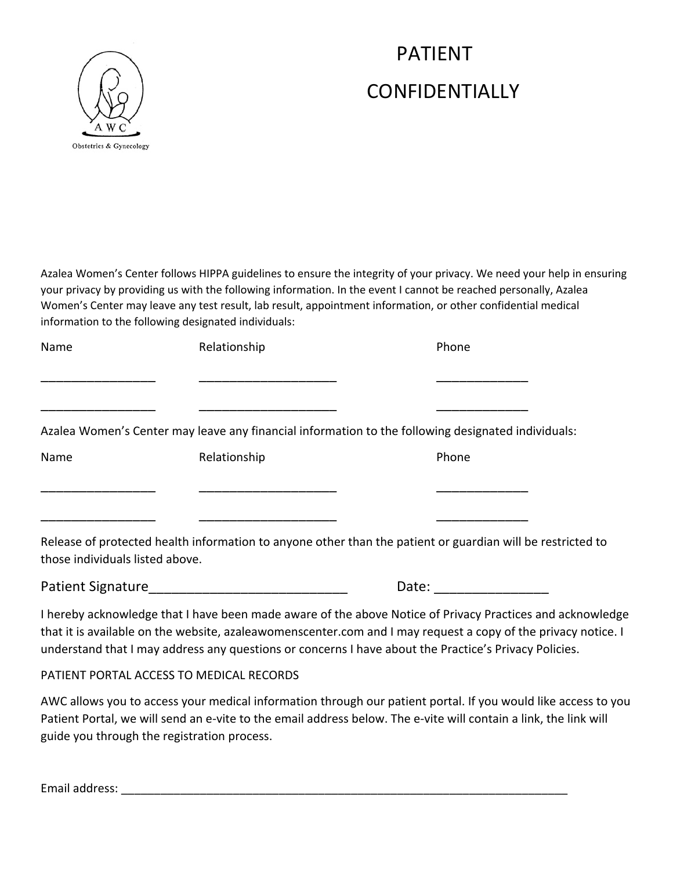## PATIENT CONFIDENTIALLY



Azalea Women's Center follows HIPPA guidelines to ensure the integrity of your privacy. We need your help in ensuring your privacy by providing us with the following information. In the event I cannot be reached personally, Azalea Women's Center may leave any test result, lab result, appointment information, or other confidential medical information to the following designated individuals:

| Name                                     | Relationship                                                                                                                                                                                                                   | Phone                                                                                                                                                                                                                                                                                                                               |
|------------------------------------------|--------------------------------------------------------------------------------------------------------------------------------------------------------------------------------------------------------------------------------|-------------------------------------------------------------------------------------------------------------------------------------------------------------------------------------------------------------------------------------------------------------------------------------------------------------------------------------|
|                                          |                                                                                                                                                                                                                                |                                                                                                                                                                                                                                                                                                                                     |
|                                          |                                                                                                                                                                                                                                | Azalea Women's Center may leave any financial information to the following designated individuals:                                                                                                                                                                                                                                  |
| Name                                     | Relationship                                                                                                                                                                                                                   | Phone                                                                                                                                                                                                                                                                                                                               |
|                                          |                                                                                                                                                                                                                                |                                                                                                                                                                                                                                                                                                                                     |
| those individuals listed above.          | __________________                                                                                                                                                                                                             | Release of protected health information to anyone other than the patient or guardian will be restricted to                                                                                                                                                                                                                          |
|                                          | Patient Signature Management Control of the Control of the Control of the Control of the Control of the Control of the Control of the Control of the Control of the Control of the Control of the Control of the Control of th | Date: the contract of the contract of the contract of the contract of the contract of the contract of the contract of the contract of the contract of the contract of the contract of the contract of the contract of the cont                                                                                                      |
|                                          |                                                                                                                                                                                                                                | I hereby acknowledge that I have been made aware of the above Notice of Privacy Practices and acknowledge<br>that it is available on the website, azaleawomenscenter.com and I may request a copy of the privacy notice. I<br>understand that I may address any questions or concerns I have about the Practice's Privacy Policies. |
| PATIENT PORTAL ACCESS TO MEDICAL RECORDS |                                                                                                                                                                                                                                |                                                                                                                                                                                                                                                                                                                                     |
|                                          |                                                                                                                                                                                                                                | AWC allows you to access your medical information through our patient portal. If you would like access to you                                                                                                                                                                                                                       |

Patient Portal, we will send an e-vite to the email address below. The e-vite will contain a link, the link will guide you through the registration process.